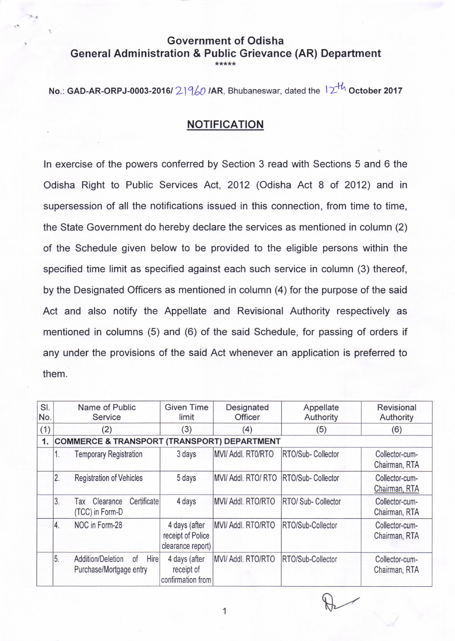## Government of Odisha General Administration & Public Grievance (AR) Department \*\*\*\*\*

No.: GAD-AR-ORPJ-0003-2016/  $2$  |  $960$  /AR, Bhubaneswar, dated the  $12<sup>+th</sup>$  October 2017

## NOTIFICATION

In exercise of the powers conferred by Section 3 read with Sections 5 and 6 the Odisha Right to Public Services Act, 2012 (Odisha Act 8 of 2012) and in supersession of all the notifications issued in this connection, from time to time, the State Government do hereby declare the services as mentioned in column (2) of the Schedule given below to be provided to the eligible persons within the specified time limit as specified against each such service in column (3) thereof, by the Designated Officers as mentioned in column (4) for the purpose of the said Act and also notify the Appellate and Revisional Authority respectively as mentioned in columns (5) and (6) of the said Schedule, for passing of orders if any under the provisions of the said Act whenever an application is preferred to them.

| SI.<br>No. | Name of Public<br><b>Service</b>                                        | <b>Given Time</b><br>limit                              | Designated<br><b>Officer</b> | Appellate<br>Authority   | Revisional<br>Authority         |
|------------|-------------------------------------------------------------------------|---------------------------------------------------------|------------------------------|--------------------------|---------------------------------|
| (1)        | (2)                                                                     | (3)                                                     | (4)                          | (5)                      | (6)                             |
| 1.         | <b>COMMERCE &amp; TRANSPORT (TRANSPORT) DEPARTMENT</b>                  |                                                         |                              |                          |                                 |
|            | <b>Temporary Registration</b><br>1.                                     | 3 days                                                  | MVI/ Addl. RT0/RTO           | RTO/Sub-Collector        | Collector-cum-<br>Chairman, RTA |
|            | 2.<br><b>Registration of Vehicles</b>                                   | 5 days                                                  | MVI/ Addl, RTO/ RTO          | <b>RTO/Sub-Collector</b> | Collector-cum-<br>Chairman, RTA |
|            | 3.<br>Certificate<br>Clearance<br>Tax<br>(TCC) in Form-D                | 4 days                                                  | MVI/ Addl. RTO/RTO           | RTO/ Sub- Collector      | Collector-cum-<br>Chairman, RTA |
|            | NOC in Form-28<br>4.                                                    | 4 days (after<br>receipt of Police<br>clearance report) | MVI/ Addl. RTO/RTO           | RTO/Sub-Collector        | Collector-cum-<br>Chairman, RTA |
|            | 5.<br>Hire<br><b>Addition/Deletion</b><br>0f<br>Purchase/Mortgage entry | 4 days (after<br>receipt of<br>confirmation from        | MVI/ Addl. RTO/RTO           | RTO/Sub-Collector        | Collector-cum-<br>Chairman, RTA |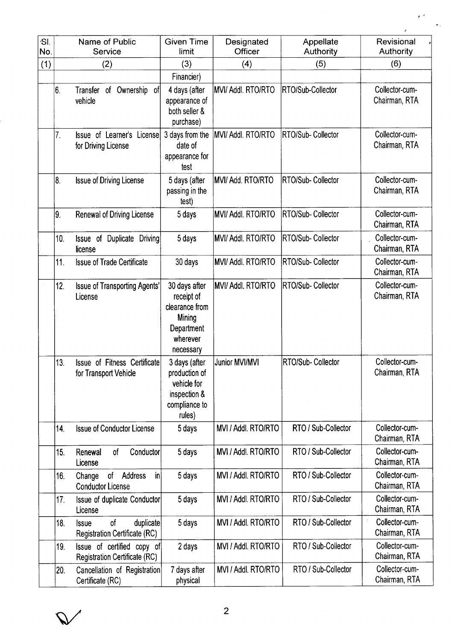| ·SI.<br>No. |     | Name of Public<br>Service                                               | <b>Given Time</b><br>limit                                                                     | Designated<br>Officer     | Appellate<br>Authority    | Revisional<br>Authority         |
|-------------|-----|-------------------------------------------------------------------------|------------------------------------------------------------------------------------------------|---------------------------|---------------------------|---------------------------------|
| (1)         |     | (2)                                                                     | (3)                                                                                            | (4)                       | (5)                       | (6)                             |
|             |     |                                                                         | Financier)                                                                                     |                           |                           |                                 |
|             | 6.  | of Ownership of<br>Transfer<br>vehicle                                  | 4 days (after<br>appearance of<br>both seller &<br>purchase)                                   | MVI/ Addl. RTO/RTO        | <b>IRTO/Sub-Collector</b> | Collector-cum-<br>Chairman, RTA |
|             | 7.  | Issue of Learner's License<br>for Driving License                       | 3 days from the<br>date of<br>appearance for<br>test                                           | MVI/ Addl. RTO/RTO        | RTO/Sub- Collector        | Collector-cum-<br>Chairman, RTA |
|             | 8.  | Issue of Driving License                                                | 5 days (after<br>passing in the<br>test)                                                       | MVI/ Add. RTO/RTO         | <b>RTO/Sub-Collector</b>  | Collector-cum-<br>Chairman, RTA |
|             | 19. | <b>Renewal of Driving License</b>                                       | 5 days                                                                                         | <b>MVI/ Addl. RTO/RTO</b> | RTO/Sub- Collector        | Collector-cum-<br>Chairman, RTA |
|             | 10. | Duplicate Driving<br>Issue of<br>license                                | 5 days                                                                                         | <b>MVI/ Addl. RTO/RTO</b> | RTO/Sub- Collector        | Collector-cum-<br>Chairman, RTA |
|             | 11. | <b>Issue of Trade Certificate</b>                                       | 30 days                                                                                        | MVI/Addl. RTO/RTO         | RTO/Sub-Collector         | Collector-cum-<br>Chairman, RTA |
|             | 12. | Issue of Transporting Agents'<br>License                                | 30 days after<br>receipt of<br>clearance from<br>Mining<br>Department<br>wherever<br>necessary | MVI/ Addl. RTO/RTO        | <b>IRTO/Sub-Collector</b> | Collector-cum-<br>Chairman, RTA |
|             | 13. | Issue of Fitness Certificate<br>for Transport Vehicle                   | 3 days (after<br>production of<br>vehicle for<br>inspection &<br>compliance to<br>rules)       | Junior MVI/MVI            | <b>RTO/Sub-Collector</b>  | Collector-cum-<br>Chairman, RTA |
|             | 14. | <b>Issue of Conductor License</b>                                       | 5 days                                                                                         | MVI / Addl. RTO/RTO       | RTO / Sub-Collector       | Collector-cum-<br>Chairman, RTA |
|             | 15. | Conductor<br>Renewal<br>of<br>License                                   | 5 days                                                                                         | MVI / Addl. RTO/RTO       | RTO / Sub-Collector       | Collector-cum-<br>Chairman, RTA |
|             | 16. | of Address<br>Change<br>in<br><b>Conductor License</b>                  | 5 days                                                                                         | MVI / Addl. RTO/RTO       | RTO / Sub-Collector       | Collector-cum-<br>Chairman, RTA |
|             | 17. | Issue of duplicate Conductor<br>License                                 | 5 days                                                                                         | MVI / Addl. RTO/RTO       | RTO / Sub-Collector       | Collector-cum-<br>Chairman, RTA |
|             | 18. | of<br>duplicate<br><b>Issue</b><br><b>Registration Certificate (RC)</b> | 5 days                                                                                         | MVI / Addl. RTO/RTO       | RTO / Sub-Collector       | Collector-cum-<br>Chairman, RTA |
|             | 19. | Issue of certified copy of<br><b>Registration Certificate (RC)</b>      | 2 days                                                                                         | MVI / Addl. RTO/RTO       | RTO / Sub-Collector       | Collector-cum-<br>Chairman, RTA |
|             | 20. | Cancellation of Registration<br>Certificate (RC)                        | 7 days after<br>physical                                                                       | MVI / Addl. RTO/RTO       | RTO / Sub-Collector       | Collector-cum-<br>Chairman, RTA |

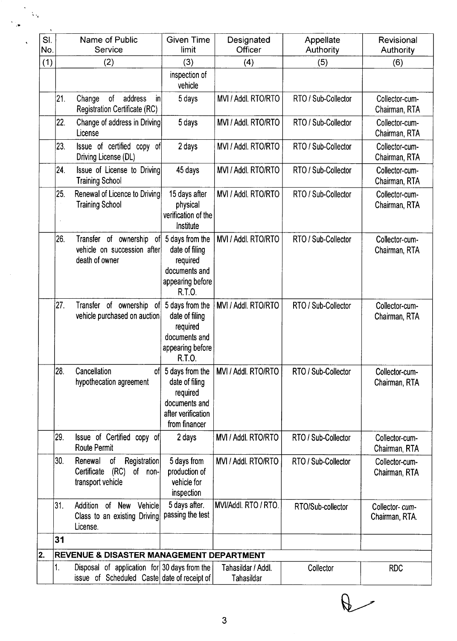| SI.<br>No. |                               | Name of Public<br>Service                                                                   | <b>Given Time</b><br>limit                                                                            | Designated<br>Officer            | Appellate<br>Authority | Revisional<br>Authority          |
|------------|-------------------------------|---------------------------------------------------------------------------------------------|-------------------------------------------------------------------------------------------------------|----------------------------------|------------------------|----------------------------------|
| (1)        |                               | (2)                                                                                         | (3)                                                                                                   | (4)                              | (5)                    | (6)                              |
|            |                               |                                                                                             | inspection of<br>vehicle                                                                              |                                  |                        |                                  |
|            | 21.<br>Change                 | of<br>address<br>in<br><b>Registration Certificate (RC)</b>                                 | 5 days                                                                                                | MVI / Addl. RTO/RTO              | RTO / Sub-Collector    | Collector-cum-<br>Chairman, RTA  |
|            | 22.<br>License                | Change of address in Driving                                                                | 5 days                                                                                                | MVI / Addl. RTO/RTO              | RTO / Sub-Collector    | Collector-cum-<br>Chairman, RTA  |
|            | 23.                           | Issue of certified copy of<br>Driving License (DL)                                          | 2 days                                                                                                | MVI / Addl. RTO/RTO              | RTO / Sub-Collector    | Collector-cum-<br>Chairman, RTA  |
|            | 24.                           | Issue of License to Driving<br><b>Training School</b>                                       | 45 days                                                                                               | MVI / Addl. RTO/RTO              | RTO / Sub-Collector    | Collector-cum-<br>Chairman, RTA  |
|            | 25.                           | Renewal of Licence to Driving<br><b>Training School</b>                                     | 15 days after<br>physical<br>verification of the<br>Institute                                         | MVI / Addl. RTO/RTO              | RTO / Sub-Collector    | Collector-cum-<br>Chairman, RTA  |
|            | 26.                           | Transfer of ownership of<br>vehicle on succession after<br>death of owner                   | 5 days from the<br>date of filing<br>required<br>documents and<br>appearing before<br>R.T.O.          | MVI / Addl. RTO/RTO              | RTO / Sub-Collector    | Collector-cum-<br>Chairman, RTA  |
|            | 27.                           | Transfer of ownership<br><sub>of</sub><br>vehicle purchased on auction                      | 5 days from the<br>date of filing<br>required<br>documents and<br>appearing before<br>R.T.O.          | MVI / Addl. RTO/RTO              | RTO / Sub-Collector    | Collector-cum-<br>Chairman, RTA  |
|            | 28.<br>Cancellation           | of<br>hypothecation agreement                                                               | 5 days from the<br>date of filing<br>required<br>documents and<br>after verification<br>from financer | MVI / Addl. RTO/RTO              | RTO / Sub-Collector    | Collector-cum-<br>Chairman, RTA  |
|            | 29.                           | Issue of Certified copy of<br><b>Route Permit</b>                                           | 2 days                                                                                                | MVI / Addl. RTO/RTO              | RTO / Sub-Collector    | Collector-cum-<br>Chairman, RTA  |
|            | 30.<br>Renewal<br>Certificate | Registration<br>of<br>(RC)<br>of non-<br>transport vehicle                                  | 5 days from<br>production of<br>vehicle for<br>inspection                                             | MVI / Addl. RTO/RTO              | RTO / Sub-Collector    | Collector-cum-<br>Chairman, RTA  |
|            | 31.<br>Addition<br>License.   | of New<br>Vehicle<br>Class to an existing Driving                                           | 5 days after.<br>passing the test                                                                     | MVI/Addl. RTO / RTO.             | RTO/Sub-collector      | Collector-cum-<br>Chairman, RTA. |
|            | 31                            |                                                                                             |                                                                                                       |                                  |                        |                                  |
| 2.         |                               | REVENUE & DISASTER MANAGEMENT DEPARTMENT                                                    |                                                                                                       |                                  |                        |                                  |
|            | 1.                            | Disposal of application for 30 days from the<br>issue of Scheduled Caste date of receipt of |                                                                                                       | Tahasildar / Addl.<br>Tahasildar | Collector              | <b>RDC</b>                       |

 $\sqrt{2}$